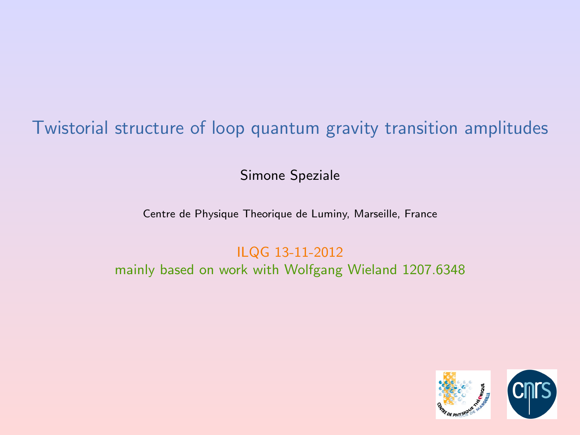# Twistorial structure of loop quantum gravity transition amplitudes

Simone Speziale

Centre de Physique Theorique de Luminy, Marseille, France

<span id="page-0-0"></span>ILQG 13-11-2012 mainly based on work with Wolfgang Wieland 1207.6348

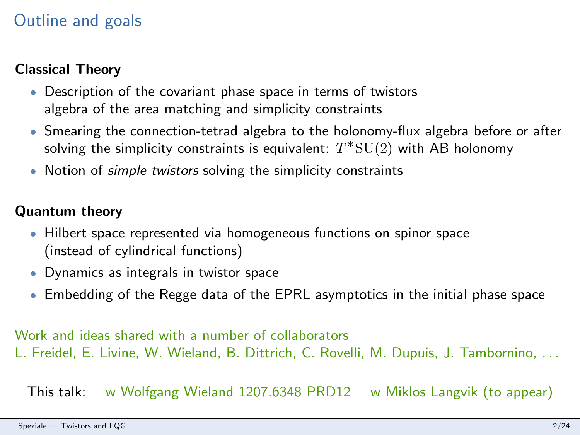# Outline and goals

### Classical Theory

- Description of the covariant phase space in terms of twistors algebra of the area matching and simplicity constraints
- ' Smearing the connection-tetrad algebra to the holonomy-flux algebra before or after solving the simplicity constraints is equivalent:  $T^*\mathrm{SU}(2)$  with AB holonomy
- . Notion of *simple twistors* solving the simplicity constraints

### Quantum theory

- Hilbert space represented via homogeneous functions on spinor space (instead of cylindrical functions)
- ' Dynamics as integrals in twistor space
- ' Embedding of the Regge data of the EPRL asymptotics in the initial phase space

Work and ideas shared with a number of collaborators L. Freidel, E. Livine, W. Wieland, B. Dittrich, C. Rovelli, M. Dupuis, J. Tambornino, . . .

This talk: w Wolfgang Wieland 1207.6348 PRD12 w Miklos Langvik (to appear)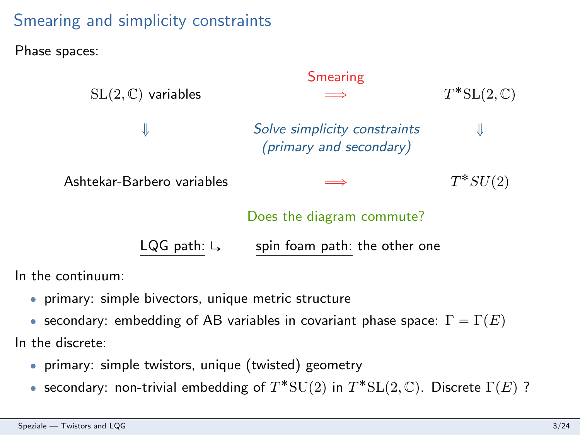# Smearing and simplicity constraints

### Phase spaces:

| $SL(2,\mathbb{C})$ variables | <b>Smearing</b><br>$\implies$                           | $T^*SL(2,\mathbb{C})$ |
|------------------------------|---------------------------------------------------------|-----------------------|
| ⇓                            | Solve simplicity constraints<br>(primary and secondary) |                       |
| Ashtekar-Barbero variables   | $\implies$                                              | $T^*SU(2)$            |
|                              | Does the diagram commute?                               |                       |
| LQG path: $\downarrow$       | spin foam path: the other one                           |                       |

In the continuum:

- ' primary: simple bivectors, unique metric structure
- secondary: embedding of AB variables in covariant phase space:  $\Gamma = \Gamma(E)$

In the discrete:

- ' primary: simple twistors, unique (twisted) geometry
- secondary: non-trivial embedding of  $T^*{\rm SU}(2)$  in  $T^*{\rm SL}(2,\mathbb{C})$ . Discrete  $\Gamma(E)$ ?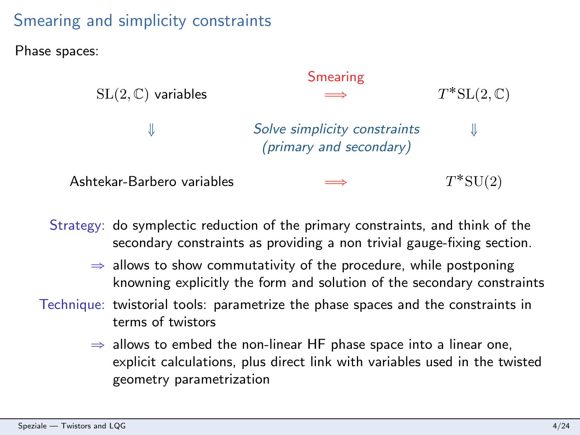# Smearing and simplicity constraints

Phase spaces:



Strategy: do symplectic reduction of the primary constraints, and think of the secondary constraints as providing a non trivial gauge-fixing section.

- $\Rightarrow$  allows to show commutativity of the procedure, while postponing knowning explicitly the form and solution of the secondary constraints
- Technique: twistorial tools: parametrize the phase spaces and the constraints in terms of twistors
	- $\Rightarrow$  allows to embed the non-linear HF phase space into a linear one, explicit calculations, plus direct link with variables used in the twisted geometry parametrization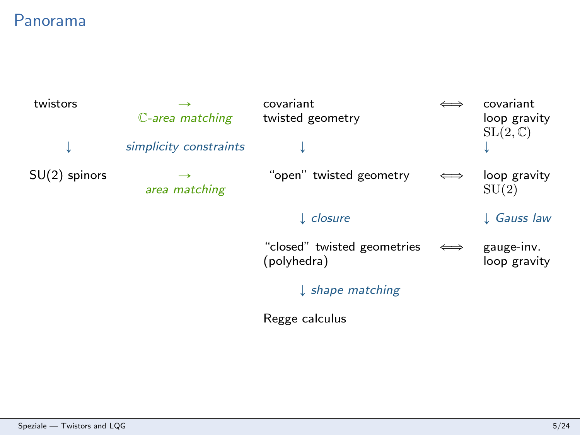# Panorama

| twistors        | C-area matching                | covariant<br>twisted geometry              |                       | covariant<br>loop gravity  |
|-----------------|--------------------------------|--------------------------------------------|-----------------------|----------------------------|
| ↓               | simplicity constraints         |                                            |                       | $SL(2,\mathbb{C})$         |
| $SU(2)$ spinors | $\rightarrow$<br>area matching | "open" twisted geometry                    |                       | loop gravity<br>SU(2)      |
|                 |                                | $\downarrow$ closure                       |                       | $\downarrow$ Gauss law     |
|                 |                                | "closed" twisted geometries<br>(polyhedra) | $\Longleftrightarrow$ | gauge-inv.<br>loop gravity |
|                 |                                | $\downarrow$ shape matching                |                       |                            |
|                 |                                | Regge calculus                             |                       |                            |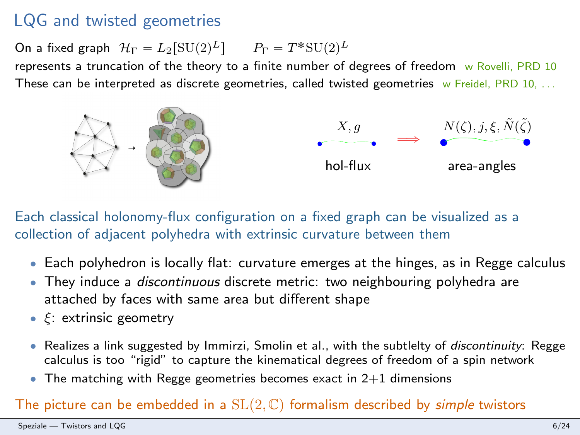# LQG and twisted geometries

On a fixed graph  $\mathcal{H}_{\Gamma} = L_2[\mathrm{SU}(2)^L]$   $P_{\Gamma} = T^* \mathrm{SU}(2)^L$ 

represents a truncation of the theory to a finite number of degrees of freedom w Rovelli, PRD 10 These can be interpreted as discrete geometries, called twisted geometries  $w$  Freidel, PRD 10,  $\dots$ 



Each classical holonomy-flux configuration on a fixed graph can be visualized as a collection of adjacent polyhedra with extrinsic curvature between them

- Each polyhedron is locally flat: curvature emerges at the hinges, as in Regge calculus
- They induce a *discontinuous* discrete metric: two neighbouring polyhedra are attached by faces with same area but different shape
- $\cdot \xi$ : extrinsic geometry
- Realizes a link suggested by Immirzi, Smolin et al., with the subtlelty of *discontinuity*: Regge calculus is too "rigid" to capture the kinematical degrees of freedom of a spin network
- $\bullet$  The matching with Regge geometries becomes exact in 2+1 dimensions

#### The picture can be embedded in a  $SL(2, \mathbb{C})$  formalism described by *simple* twistors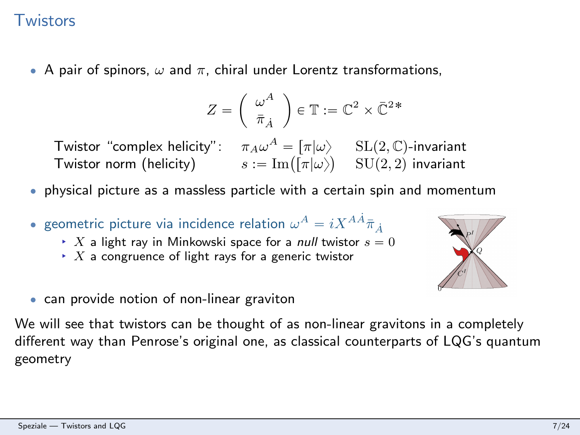## **Twistors**

• A pair of spinors,  $\omega$  and  $\pi$ , chiral under Lorentz transformations,

$$
Z = \left(\begin{array}{c} \omega^A \\ \bar{\pi}_{\dot{A}} \end{array}\right) \in \mathbb{T} := \mathbb{C}^2 \times \bar{\mathbb{C}}^{2*}
$$

Twistor "complex helicity":  $\pi_A\omega^A=\begin{bmatrix} \pi|\omega\end{bmatrix}\quad\text{SL}(2,\mathbb{C})$ -invariant **The Transform Complex helicity**":  $\pi_A \omega^A = [\pi | \omega\rangle$  SL(2, C)-invariant<br>Twistor norm (helicity)  $s := \text{Im}([\pi | \omega\rangle)$  SU(2, 2) invariant

- ' physical picture as a massless particle with a certain spin and momentum
- $\bullet$  geometric picture via incidence relation  $\omega^A = i X^{A\dot A} \bar\pi_{\dot A}$ 
	- $\rightarrow X$  a light ray in Minkowski space for a *null* twistor  $s = 0$
	- $\rightarrow$  X a congruence of light rays for a generic twistor



• can provide notion of non-linear graviton

We will see that twistors can be thought of as non-linear gravitons in a completely different way than Penrose's original one, as classical counterparts of LQG's quantum geometry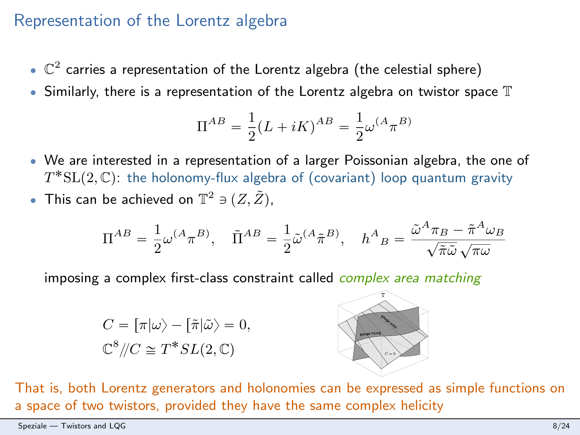### Representation of the Lorentz algebra

- $\bullet$   $\mathbb{C}^2$  carries a representation of the Lorentz algebra (the celestial sphere)
- $\bullet$  Similarly, there is a representation of the Lorentz algebra on twistor space  $\mathbb T$

$$
\Pi^{AB} = \frac{1}{2}(L + iK)^{AB} = \frac{1}{2}\omega^{(A}\pi^{B)}
$$

- ' We are interested in a representation of a larger Poissonian algebra, the one of  $T^{*}{\rm SL}(2,\mathbb{C})$ : the holonomy-flux algebra of (covariant) loop quantum gravity
- This can be achieved on  $\mathbb{T}^2 \ni (Z, \tilde{Z}),$

$$
\Pi^{AB} = \frac{1}{2} \omega^{(A} \pi^{B)}, \quad \tilde{\Pi}^{AB} = \frac{1}{2} \tilde{\omega}^{(A} \tilde{\pi}^{B)}, \quad h^{A}{}_{B} = \frac{\tilde{\omega}^{A} \pi_{B} - \tilde{\pi}^{A} \omega_{B}}{\sqrt{\tilde{\pi} \tilde{\omega}} \sqrt{\pi \omega}}
$$

imposing a complex first-class constraint called *complex area matching* 

$$
C = [\pi | \omega \rangle - [\tilde{\pi} | \tilde{\omega} \rangle = 0,
$$
  

$$
\mathbb{C}^8 / / C \cong T^* SL(2, \mathbb{C})
$$



That is, both Lorentz generators and holonomies can be expressed as simple functions on a space of two twistors, provided they have the same complex helicity

Speziale — [Twistors and LQG](#page-0-0) 8/24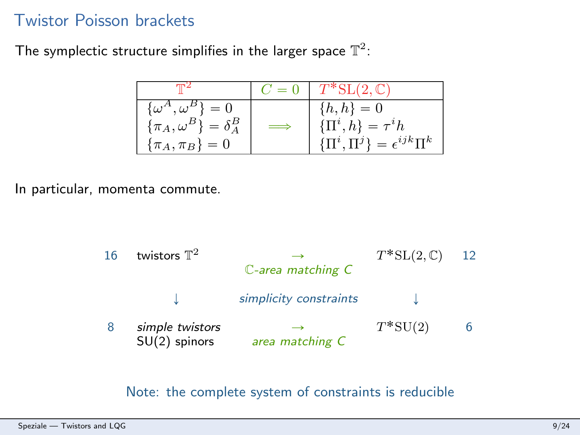### Twistor Poisson brackets

The symplectic structure simplifies in the larger space  $\mathbb{T}^2$ :

|                                                                                           |            | $C = 0$ $T^*SL(2, \mathbb{C})$                                                        |
|-------------------------------------------------------------------------------------------|------------|---------------------------------------------------------------------------------------|
| $\{\omega^A,\omega^B\}=0$<br>$\{\pi_A, \omega^B\} = \delta^B_A$<br>$\{\pi_A, \pi_B\} = 0$ | $\implies$ | $\{h,h\}=0$<br>$\{\Pi^i, h\} = \tau^i h$<br>$\{\Pi^i, \Pi^j\} = \epsilon^{ijk} \Pi^k$ |

In particular, momenta commute.



Note: the complete system of constraints is reducible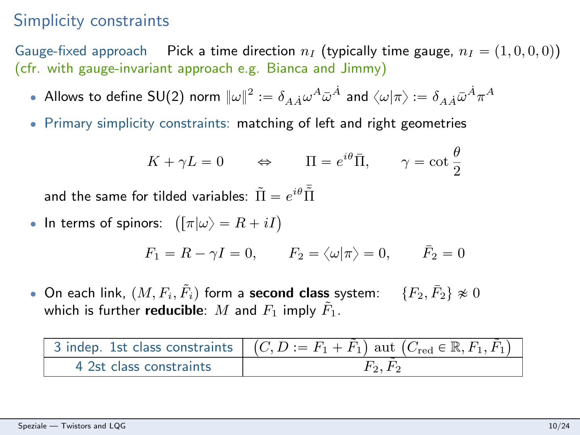# Simplicity constraints

Gauge-fixed approach Pick a time direction  $n_I$  (typically time gauge,  $n_I = (1, 0, 0, 0)$ ) (cfr. with gauge-invariant approach e.g. Bianca and Jimmy)

- Allows to define SU(2) norm  $\|\omega\|^2:=\delta_{A\dot A}\omega^A\bar\omega^{\dot A}$  and  $\langle\omega|\pi\rangle:=\delta_{A\dot A}\bar\omega^{\dot A}\pi^A$
- ' Primary simplicity constraints: matching of left and right geometries

$$
K + \gamma L = 0 \qquad \Leftrightarrow \qquad \Pi = e^{i\theta} \bar{\Pi}, \qquad \gamma = \cot \frac{\theta}{2}
$$

and the same for tilded variables:  $\tilde{\Pi}=e^{i\theta}\bar{\tilde{\Pi}}$ 

• In terms of spinors:  $\left( [\pi | \omega \rangle = R + iI \right)$ 

$$
F_1 = R - \gamma I = 0, \qquad F_2 = \langle \omega | \pi \rangle = 0, \qquad \bar{F}_2 = 0
$$

• On each link,  $(M, F_i, \tilde{F}_i)$  form a second class system:  $\{F_2, \bar{F}_2\} \not\approx 0$ which is further **reducible**: M and  $F_1$  imply  $F_1$ .

|                         | 3 indep. 1st class constraints $\mid$ $(C, D := F_1 + \tilde{F}_1)$ aut $(C_{\text{red}} \in \mathbb{R}, F_1, \tilde{F}_1)$ |
|-------------------------|-----------------------------------------------------------------------------------------------------------------------------|
| 4 2st class constraints | $F_2, F_2$                                                                                                                  |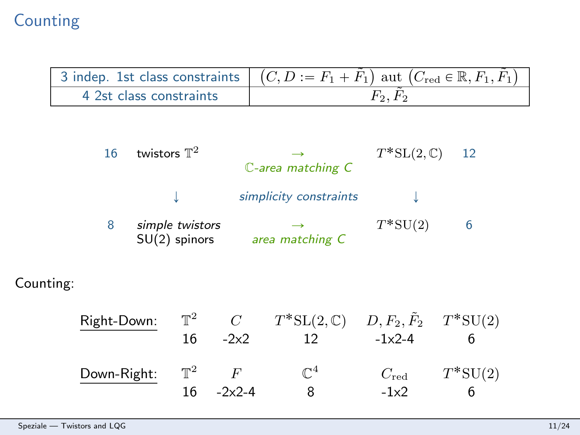# Counting

|                         | 3 indep. 1st class constraints $\mid$ $(C, D := F_1 + F_1)$ aut $(C_{red} \in \mathbb{R}, F_1, F_1)$ |
|-------------------------|------------------------------------------------------------------------------------------------------|
| 4 2st class constraints |                                                                                                      |

| 16 | twistors $\mathbb{T}^2$            | ⊸<br>$\mathbb{C}$ -area matching $C$ | $T^*SL(2,\mathbb{C})$ | 12 |
|----|------------------------------------|--------------------------------------|-----------------------|----|
|    |                                    | simplicity constraints               |                       |    |
| 8  | simple twistors<br>$SU(2)$ spinors | area matching C                      | $T^*SU(2)$            |    |

## Counting:

| Right-Down: | $\mathbb{T}^2$ | C         | $T^*SL(2,\mathbb{C})$ | $D, F_2, \tilde{F}_2$ $T^*$ SU(2) |            |
|-------------|----------------|-----------|-----------------------|-----------------------------------|------------|
|             | 16             | $-2x2$    |                       | $-1x2-4$                          |            |
| Down-Right: | $T^2$          |           | $\mathbb{C}^4$        | $C_{\rm red}$                     | $T^*SU(2)$ |
|             | 16             | $-2x^2-4$ |                       | $-1x2$                            |            |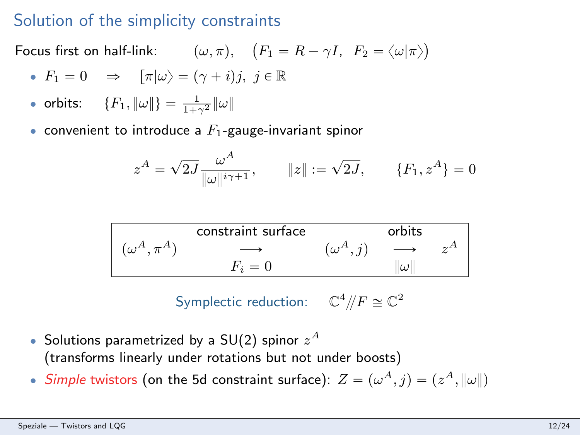### Solution of the simplicity constraints

Focus first on half-link:  $(\omega, \pi)$ , `  $F_1 = R - \gamma I$ ,  $F_2 = \langle \omega | \pi \rangle$ ˘

• 
$$
F_1 = 0
$$
  $\Rightarrow$   $[\pi|\omega\rangle = (\gamma + i)j, j \in \mathbb{R}$ 

- orbits:  ${F_1, \|\omega\|} = \frac{1}{1+\gamma^2} \|\omega\|$
- convenient to introduce a  $F_1$ -gauge-invariant spinor

$$
z^{A} = \sqrt{2J} \frac{\omega^{A}}{\|\omega\|^{i\gamma + 1}}, \qquad \|z\| := \sqrt{2J}, \qquad \{F_{1}, z^{A}\} = 0
$$

|                     | constraint surface |                 | orbits            |  |
|---------------------|--------------------|-----------------|-------------------|--|
| $(\omega^A, \pi^A)$ |                    | $(\omega^A, j)$ | $\longrightarrow$ |  |
|                     | $F_i=0$            |                 | $\omega$ l        |  |

Symplectic reduction:  $\mathbb{C}^4/\!/F \cong \mathbb{C}^2$ 

- $\bullet$  Solutions parametrized by a SU(2) spinor  $z^{A}$ (transforms linearly under rotations but not under boosts)
- Simple twistors (on the 5d constraint surface):  $Z = (\omega^A, j) = (z^A, \|\omega\|)$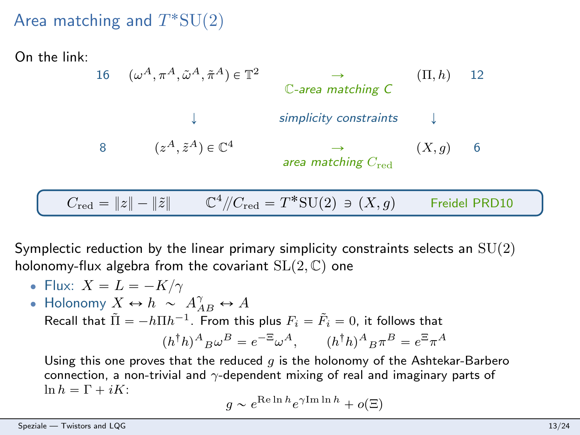# Area matching and  $T^*\mathrm{SU}(2)$

On the link:

16 pω <sup>A</sup>, πA, ω˜ <sup>A</sup>, π˜ <sup>A</sup>q P T <sup>2</sup> Ñ pΠ, hq 12 C-area matching C Ó simplicity constraints Ó 8 pz <sup>A</sup>, z˜ <sup>A</sup>q P C<sup>4</sup> Ñ pX, gq 6 area matching Cred Cred " }z} ´ }z˜} C 4 {{Cred " T ˚SUp2q Q pX, gq Freidel PRD10

Symplectic reduction by the linear primary simplicity constraints selects an  $SU(2)$ holonomy-flux algebra from the covariant  $SL(2, \mathbb{C})$  one

- Flux:  $X = L = -K/\gamma$
- Holonomy  $X \leftrightarrow h \sim A_{AB}^{\gamma} \leftrightarrow A$ Recall that  $\tilde{\Pi} = -h\Pi h^{-1}$ . From this plus  $F_i = \tilde{F}_i = 0$ , it follows that  $(h^{\dagger}h)^A{}_B\omega^B = e^{-\Xi}\omega^A$ ,  $(h^{\dagger}h)^A{}_B\pi^B = e^{\Xi}\pi^A$

Using this one proves that the reduced  $g$  is the holonomy of the Ashtekar-Barbero connection, a non-trivial and  $\gamma$ -dependent mixing of real and imaginary parts of  $\ln h = \Gamma + iK$ :

$$
g \sim e^{\text{Re}\ln h} e^{\gamma \text{Im}\ln h} + o(\Xi)
$$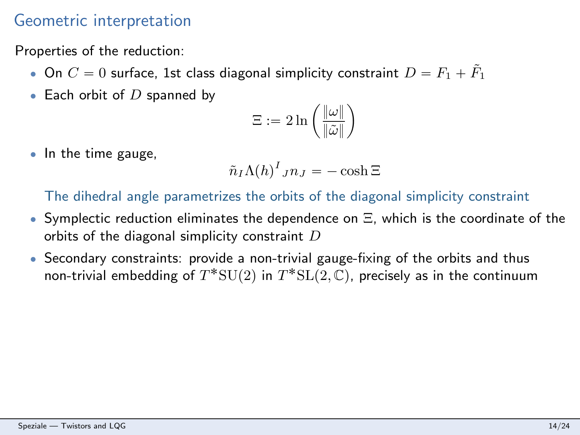# Geometric interpretation

Properties of the reduction:

- $\bullet$  On  $C = 0$  surface, 1st class diagonal simplicity constraint  $D = F_1 + \tilde{F}_1$
- $\bullet$  Each orbit of  $D$  spanned by

$$
\Xi:=2\ln\left(\frac{\|\omega\|}{\|\tilde{\omega}\|}\right)
$$

• In the time gauge,

$$
\tilde{n}_I \Lambda(h)^I_{JI} = -\cosh \Xi
$$

The dihedral angle parametrizes the orbits of the diagonal simplicity constraint

- $\bullet$  Symplectic reduction eliminates the dependence on  $\Xi$ , which is the coordinate of the orbits of the diagonal simplicity constraint  $D$
- ' Secondary constraints: provide a non-trivial gauge-fixing of the orbits and thus non-trivial embedding of  $T^{*}{\rm SU}(2)$  in  $T^{*}{\rm SL}(2, \mathbb{C})$ , precisely as in the continuum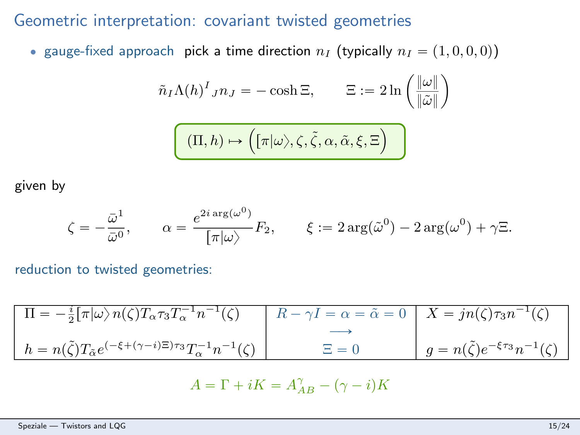## Geometric interpretation: covariant twisted geometries

• gauge-fixed approach pick a time direction  $n_I$  (typically  $n_I = (1, 0, 0, 0)$ )

$$
\tilde{n}_I \Lambda(h)^I_{JIJ} = -\cosh \Xi, \qquad \Xi := 2\ln\left(\frac{\|\omega\|}{\|\tilde{\omega}\|}\right)
$$

$$
\boxed{(\Pi, h) \mapsto \Big( [\pi | \omega \rangle, \zeta, \tilde{\zeta}, \alpha, \tilde{\alpha}, \xi, \Xi \Big)}
$$

given by

$$
\zeta = -\frac{\bar{\omega}^1}{\bar{\omega}^0}, \qquad \alpha = \frac{e^{2i \arg(\omega^0)}}{[\pi|\omega\rangle} F_2, \qquad \xi := 2\arg(\tilde{\omega}^0) - 2\arg(\omega^0) + \gamma \Xi.
$$

reduction to twisted geometries:

$$
\Pi = -\frac{i}{2} [\pi | \omega \rangle n(\zeta) T_{\alpha} \tau_3 T_{\alpha}^{-1} n^{-1}(\zeta) \qquad R - \gamma I = \alpha = \tilde{\alpha} = 0 \qquad X = j n(\zeta) \tau_3 n^{-1}(\zeta)
$$
  
\n
$$
h = n(\tilde{\zeta}) T_{\tilde{\alpha}} e^{(-\xi + (\gamma - i)\Xi)\tau_3} T_{\alpha}^{-1} n^{-1}(\zeta) \qquad \qquad \Xi = 0 \qquad g = n(\tilde{\zeta}) e^{-\xi \tau_3} n^{-1}(\zeta)
$$

$$
A = \Gamma + iK = A_{AB}^{\gamma} - (\gamma - i)K
$$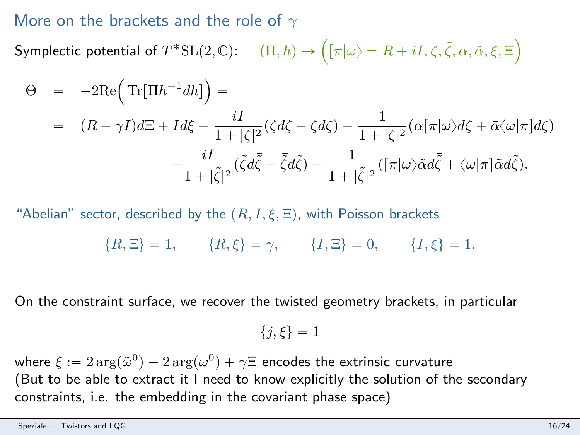### More on the brackets and the role of  $\gamma$

Symplectic potential of  $T^*{\rm SL}(2,\mathbb{C})$ :  $\qquad \qquad (\Pi, h) \mapsto \Big( [\pi | \omega \rangle = R + iI, \zeta, \tilde{\zeta}, \alpha, \tilde{\alpha}, \xi, \Xi]$ ¯

$$
\Theta = -2\text{Re}\left(\text{Tr}[\Pi h^{-1}dh]\right) =
$$
\n
$$
= (R - \gamma I)d\Xi + Id\xi - \frac{iI}{1+|\zeta|^2}(\zeta d\bar{\zeta} - \bar{\zeta}d\zeta) - \frac{1}{1+|\zeta|^2}(\alpha[\pi|\omega)d\bar{\zeta} + \bar{\alpha}\langle\omega|\pi]d\zeta)
$$
\n
$$
- \frac{iI}{1+|\tilde{\zeta}|^2}(\tilde{\zeta}d\bar{\zeta} - \bar{\zeta}d\zeta) - \frac{1}{1+|\tilde{\zeta}|^2}([\pi|\omega)\tilde{\alpha}d\bar{\zeta} + \langle\omega|\pi]\bar{\alpha}d\zeta).
$$

"Abelian" sector, described by the  $(R, I, \xi, \Xi)$ , with Poisson brackets

$$
{R, \Xi} = 1,
$$
  ${R, \xi} = \gamma,$   ${I, \Xi} = 0,$   ${I, \xi} = 1.$ 

On the constraint surface, we recover the twisted geometry brackets, in particular

$$
\{j,\xi\}=1
$$

where  $\xi := 2 \arg(\tilde{\omega}^0) - 2 \arg(\omega^0) + \gamma \Xi$  encodes the extrinsic curvature (But to be able to extract it I need to know explicitly the solution of the secondary constraints, i.e. the embedding in the covariant phase space)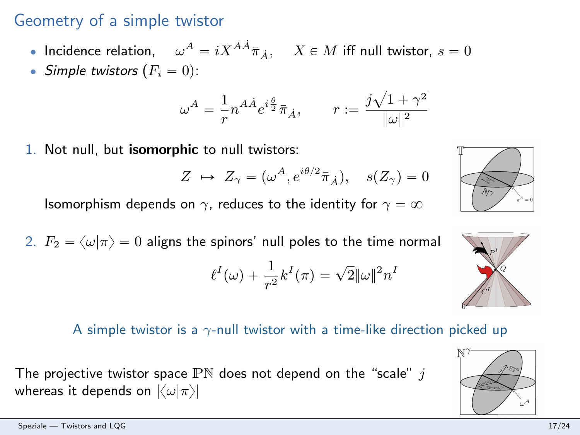# Geometry of a simple twistor

- Incidence relation,  $\omega^{A}=iX^{A\dot A}\bar\pi_{\dot A},\quad X\in M$  iff null twistor,  $s=0$
- Simple twistors  $(F_i = 0)$ :

$$
\omega^A = \frac{1}{r} n^{A\dot{A}} e^{i\frac{\theta}{2}} \bar{\pi}_{\dot{A}}, \qquad r := \frac{j\sqrt{1+\gamma^2}}{\|\omega\|^2}
$$

1. Not null, but isomorphic to null twistors:

$$
Z \ \mapsto \ Z_{\gamma} = (\omega^A, e^{i\theta/2} \bar{\pi}_{\dot{A}}), \quad s(Z_{\gamma}) = 0
$$

Isomorphism depends on  $\gamma$ , reduces to the identity for  $\gamma = \infty$ 

2.  $F_2 = \langle \omega | \pi \rangle = 0$  aligns the spinors' null poles to the time normal  $\ell^{I}(\omega) + \frac{1}{r^{2}}k^{I}(\pi) = \sqrt{2} \|\omega\|^{2} n^{I}$ 

#### A simple twistor is a  $\gamma$ -null twistor with a time-like direction picked up

The projective twistor space  $PN$  does not depend on the "scale" j whereas it depends on  $|\langle \omega | \pi \rangle|$ 





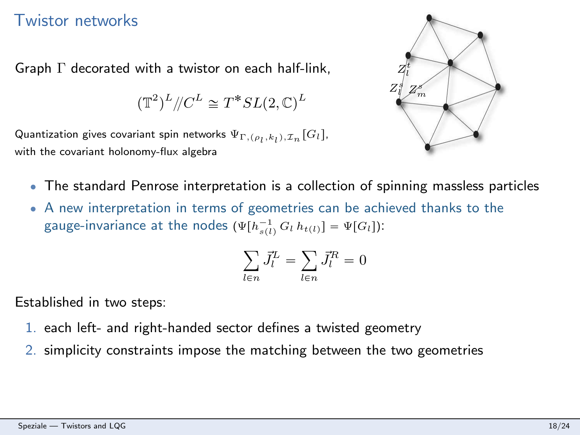### Twistor networks

Graph Γ decorated with a twistor on each half-link,

$$
(\mathbb{T}^2)^L {/\!\!/} C^L \cong T^*SL(2,\mathbb{C})^L
$$

Quantization gives covariant spin networks  $\Psi_{\Gamma,(\rho_l,k_l),{\cal I}_n}\lbrack{\cal G}_l\rfloor$ , with the covariant holonomy-flux algebra



- ' The standard Penrose interpretation is a collection of spinning massless particles
- ' A new interpretation in terms of geometries can be achieved thanks to the gauge-invariance at the nodes  $(\Psi[h_{s(l)}^{-1}G_l h_{t(l)}] = \Psi[G_l])$ :

$$
\sum_{l \in n} \vec{J}_l^L = \sum_{l \in n} \vec{J}_l^R = 0
$$

Established in two steps:

- 1. each left- and right-handed sector defines a twisted geometry
- 2. simplicity constraints impose the matching between the two geometries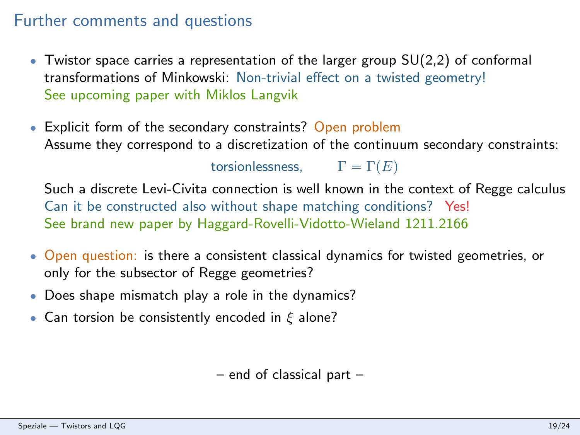### Further comments and questions

- $\bullet$  Twistor space carries a representation of the larger group  $SU(2,2)$  of conformal transformations of Minkowski: Non-trivial effect on a twisted geometry! See upcoming paper with Miklos Langvik
- Explicit form of the secondary constraints? Open problem Assume they correspond to a discretization of the continuum secondary constraints:

torsionlessness,  $\Gamma = \Gamma(E)$ 

Such a discrete Levi-Civita connection is well known in the context of Regge calculus Can it be constructed also without shape matching conditions? Yes! See brand new paper by Haggard-Rovelli-Vidotto-Wieland 1211.2166

- ' Open question: is there a consistent classical dynamics for twisted geometries, or only for the subsector of Regge geometries?
- ' Does shape mismatch play a role in the dynamics?
- Can torsion be consistently encoded in  $\xi$  alone?

– end of classical part –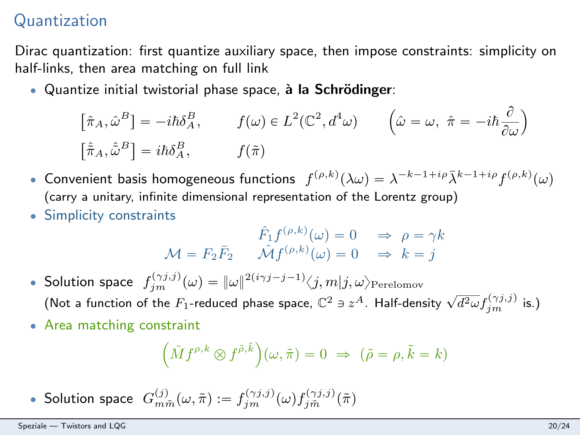# Quantization

Dirac quantization: first quantize auxiliary space, then impose constraints: simplicity on half-links, then area matching on full link

Ouantize initial twistorial phase space, à la Schrödinger:  $\ddot{\phantom{a}}$ 

$$
\[\hat{\pi}_A, \hat{\omega}^B\] = -i\hbar \delta_A^B, \qquad f(\omega) \in L^2(\mathbb{C}^2, d^4\omega) \qquad \left(\hat{\omega} = \omega, \ \hat{\pi} = -i\hbar \frac{\partial}{\partial \omega}\right) \]\[\hat{\pi}_A, \hat{\omega}^B\] = i\hbar \delta_A^B, \qquad f(\tilde{\pi})
$$

- Convenient basis homogeneous functions  $f^{(\rho,k)}(\lambda\omega) = \lambda^{-k-1+i\rho}\bar{\lambda}^{k-1+i\rho}f^{(\rho,k)}(\omega)$ (carry a unitary, infinite dimensional representation of the Lorentz group)
- ' Simplicity constraints

$$
\hat{F}_1 f^{(\rho,k)}(\omega) = 0 \Rightarrow \rho = \gamma k
$$
  

$$
\mathcal{M} = F_2 \bar{F}_2 \qquad \hat{\mathcal{M}} f^{(\rho,k)}(\omega) = 0 \Rightarrow k = j
$$

- Solution space  $f_{jm}^{(\gamma j,j)}(\omega) = \|\omega\|^{2(i\gamma j-j-1)} \langle j,m|j,\omega\rangle_{\mathrm{Perelomov}}$ (Not a function of the  $F_1$ -reduced phase space,  $\mathbb{C}^2 \ni z^A$ . Half-density  $\sqrt{d^2\omega} f_{jm}^{(\gamma j,j)}$  is.)
- Area matching constraint

$$
(\hat{M}f^{\rho,k}\otimes f^{\tilde{\rho},\tilde{k}}\Big)(\omega,\tilde{\pi})=0 \ \Rightarrow \ (\tilde{\rho}=\rho,\tilde{k}=k)
$$

• Solution space  $G_{m\tilde{m}}^{(j)}(\omega,\tilde{\pi}) := f_{jm}^{(\gamma j,j)}(\omega) f_{j\tilde{m}}^{(\gamma j,j)}(\tilde{\pi})$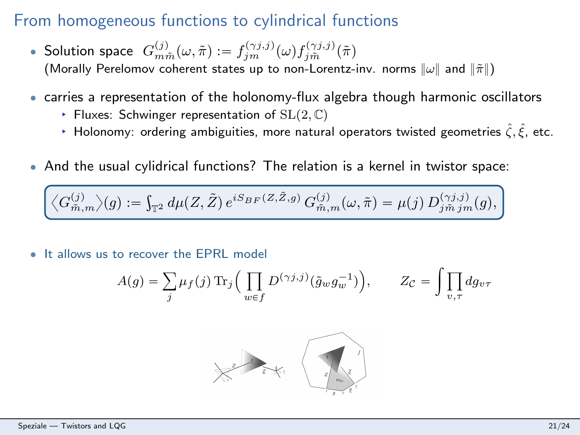## From homogeneous functions to cylindrical functions

- Solution space  $G_{m\tilde{m}}^{(j)}(\omega,\tilde{\pi}) := f_{jm}^{(\gamma j,j)}(\omega) f_{j\tilde{m}}^{(\gamma j,j)}(\tilde{\pi})$ (Morally Perelomov coherent states up to non-Lorentz-inv. norms  $\|\omega\|$  and  $\|\tilde{\pi}\|$ )
- ' carries a representation of the holonomy-flux algebra though harmonic oscillators
	- Fluxes: Schwinger representation of  $SL(2, \mathbb{C})$
	- **E** Holonomy: ordering ambiguities, more natural operators twisted geometries  $\hat{\zeta}, \hat{\xi}$ , etc.
- ' And the usual cylidrical functions? The relation is a kernel in twistor space:

$$
\overline{\left\langle G^{(j)}_{\tilde{m},m}\right\rangle(g):=\int_{\mathbb{T}^2}d\mu(Z,\tilde{Z})\,e^{iS_{BF}(Z,\tilde{Z},g)}\,G^{(j)}_{\tilde{m},m}(\omega,\tilde{\pi})=\mu(j)\,D^{(\gamma j,j)}_{j\tilde{m}\,jm}(g)},
$$

It allows us to recover the EPRL model

$$
A(g) = \sum_{j} \mu_f(j) \operatorname{Tr}_j \Big( \prod_{w \in f} D^{(\gamma j,j)}(\tilde{g}_w g_w^{-1}) \Big), \qquad Z_{\mathcal{C}} = \int \prod_{v,\tau} dg_{v\tau}
$$

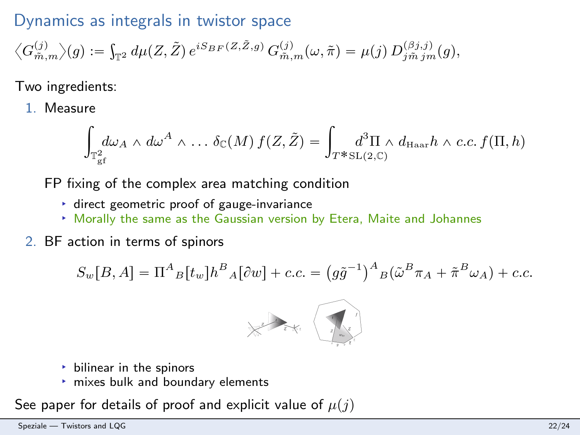## Dynamics as integrals in twistor space

$$
\big\langle G^{(j)}_{\vec{m},m} \big\rangle (g) := \int_{\mathbb{T}^2} d\mu (Z, \tilde{Z}) \, e^{i S_{BF}(Z, \tilde{Z}, g)} \, G^{(j)}_{\vec{m},m}(\omega, \tilde{\pi}) = \mu(j) \, D^{(\beta j,j)}_{j \vec{m} \, j \vec{m}}(g),
$$

Two ingredients:

1. Measure

$$
\int_{\mathbb{T}_{\mathcal{E}^f}^2} d\omega_A \wedge d\omega^A \wedge \ldots \delta_{\mathbb{C}}(M) f(Z, \tilde{Z}) = \int_{T^* \mathrm{SL}(2,\mathbb{C})} d^3\Pi \wedge d_{\mathrm{Haar}} h \wedge c.c. f(\Pi, h)
$$

FP fixing of the complex area matching condition

- § direct geometric proof of gauge-invariance
- § Morally the same as the Gaussian version by Etera, Maite and Johannes
- 2. BF action in terms of spinors

$$
S_w[B,A] = \Pi^A{}_B[t_w]h^B{}_A[\partial w] + c.c. = (g\tilde{g}^{-1})^A{}_B(\tilde{\omega}^B \pi_A + \tilde{\pi}^B \omega_A) + c.c.
$$



- $\rightarrow$  bilinear in the spinors
- § mixes bulk and boundary elements

See paper for details of proof and explicit value of  $\mu(j)$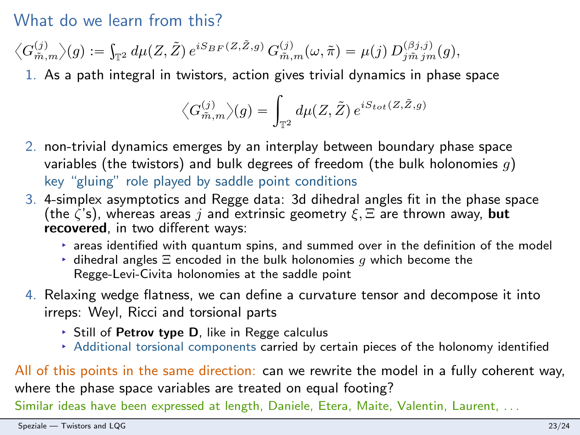### What do we learn from this?

$$
\big\langle G^{(j)}_{\tilde m, m}\big\rangle(g):=\int_{\mathbb{T}^2} d\mu(Z, \tilde Z)\, e^{iS_{BF}(Z, \tilde Z, g)}\, G^{(j)}_{\tilde m, m}(\omega, \tilde \pi)=\mu(j)\, D^{(\beta j, j)}_{j \tilde m \, j m}(g),
$$

1. As a path integral in twistors, action gives trivial dynamics in phase space

$$
\bigl\langle G^{(j)}_{\bar{m},m}\bigr\rangle(g)=\int_{\mathbb{T}^2}d\mu(Z,\tilde{Z})\,e^{iS_{tot}(Z,\tilde{Z},g)}
$$

- 2. non-trivial dynamics emerges by an interplay between boundary phase space variables (the twistors) and bulk degrees of freedom (the bulk holonomies  $q$ ) key "gluing" role played by saddle point conditions
- 3. 4-simplex asymptotics and Regge data: 3d dihedral angles fit in the phase space (the  $\zeta$ 's), whereas areas j and extrinsic geometry  $\xi$ ,  $\Xi$  are thrown away, but recovered, in two different ways:
	- $\rightarrow$  areas identified with quantum spins, and summed over in the definition of the model
	- $\rightarrow$  dihedral angles  $\Xi$  encoded in the bulk holonomies g which become the Regge-Levi-Civita holonomies at the saddle point
- 4. Relaxing wedge flatness, we can define a curvature tensor and decompose it into irreps: Weyl, Ricci and torsional parts
	- $\triangleright$  Still of Petrov type D, like in Regge calculus
	- § Additional torsional components carried by certain pieces of the holonomy identified

All of this points in the same direction: can we rewrite the model in a fully coherent way, where the phase space variables are treated on equal footing?

Similar ideas have been expressed at length, Daniele, Etera, Maite, Valentin, Laurent, . . .